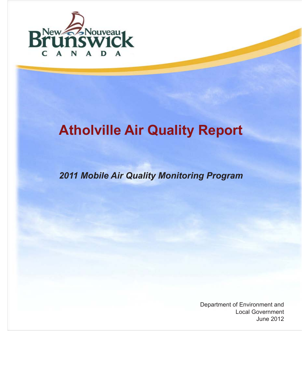

# **Atholville Air Quality Report**

*2011 Mobile Air Quality Monitoring Program*

Department of Environment and Local Government June 2012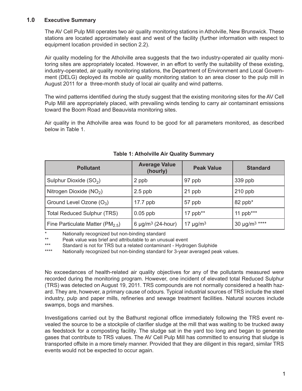## **1.0 Executive Summary**

The AV Cell Pulp Mill operates two air quality monitoring stations in Atholville, New Brunswick. These stations are located approximately east and west of the facility (further information with respect to equipment location provided in section 2.2).

Air quality modeling for the Atholville area suggests that the two industry-operated air quality monitoring sites are appropriately located. However, in an effort to verify the suitability of these existing, industry-operated, air quality monitoring stations, the Department of Environment and Local Government (DELG) deployed its mobile air quality monitoring station to an area closer to the pulp mill in August 2011 for a three-month study of local air quality and wind patterns.

The wind patterns identified during the study suggest that the existing monitoring sites for the AV Cell Pulp Mill are appropriately placed, with prevailing winds tending to carry air contaminant emissions toward the Boom Road and Beauvista monitoring sites.

Air quality in the Atholville area was found to be good for all parameters monitored, as described below in Table 1.

| <b>Pollutant</b>                       | <b>Average Value</b><br>(hourly)   | <b>Peak Value</b>         | <b>Standard</b>                |
|----------------------------------------|------------------------------------|---------------------------|--------------------------------|
| Sulphur Dioxide (SO <sub>2</sub> )     | 2 ppb                              | 97 ppb                    | 339 ppb                        |
| Nitrogen Dioxide $(NO2)$               | $2.5$ ppb                          | 21 ppb                    | $210$ ppb                      |
| Ground Level Ozone $(O_3)$             | $17.7$ ppb                         | 57 ppb                    | 82 ppb*                        |
| <b>Total Reduced Sulphur (TRS)</b>     | $0.05$ ppb                         | 17 ppb $**$               | 11 $ppb***$                    |
| Fine Particulate Matter ( $PM_{2.5}$ ) | 6 $\mu$ g/m <sup>3</sup> (24-hour) | 17 $\mu$ g/m <sup>3</sup> | 30 $\mu$ g/m <sup>3</sup> **** |

## **Table 1: Atholville Air Quality Summary**

\* Nationally recognized but non-binding standard

\*\* Peak value was brief and attributable to an unusual event

\*\*\* Standard is not for TRS but a related contaminant - Hydrogen Sulphide<br>\*\*\*\* Nationally recognized but non-binding standard for 3-vear averaged pea

Nationally recognized but non-binding standard for 3-year averaged peak values.

No exceedances of health-related air quality objectives for any of the pollutants measured were recorded during the monitoring program. However, one incident of elevated total Reduced Sulphur (TRS) was detected on August 19, 2011. TRS compounds are not normally considered a health hazard. They are, however, a primary cause of odours. Typical industrial sources of TRS include the steel industry, pulp and paper mills, refineries and sewage treatment facilities. Natural sources include swamps, bogs and marshes.

Investigations carried out by the Bathurst regional office immediately following the TRS event revealed the source to be a stockpile of clarifier sludge at the mill that was waiting to be trucked away as feedstock for a composting facility. The sludge sat in the yard too long and began to generate gases that contribute to TRS values. The AV Cell Pulp Mill has committed to ensuring that sludge is transported offsite in a more timely manner. Provided that they are diligent in this regard, similar TRS events would not be expected to occur again.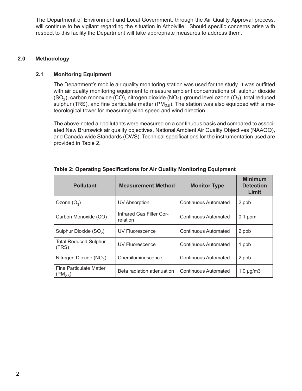The Department of Environment and Local Government, through the Air Quality Approval process, will continue to be vigilant regarding the situation in Atholville. Should specific concerns arise with respect to this facility the Department will take appropriate measures to address them.

#### **2.0 Methodology**

#### **2.1 Monitoring Equipment**

The Department's mobile air quality monitoring station was used for the study. It was outfitted with air quality monitoring equipment to measure ambient concentrations of: sulphur dioxide  $(SO<sub>2</sub>)$ , carbon monoxide (CO), nitrogen dioxide (NO<sub>2</sub>), ground level ozone (O<sub>3</sub>), total reduced sulphur (TRS), and fine particulate matter (PM<sub>2.5</sub>). The station was also equipped with a meteorological tower for measuring wind speed and wind direction.

The above-noted air pollutants were measured on a continuous basis and compared to associated New Brunswick air quality objectives, National Ambient Air Quality Objectives (NAAQO), and Canada-wide Standards (CWS). Technical specifications for the instrumentation used are provided in Table 2.

| <b>Pollutant</b>                                                             | <b>Measurement Method</b>            | <b>Monitor Type</b>  | <b>Minimum</b><br><b>Detection</b><br>Limit |
|------------------------------------------------------------------------------|--------------------------------------|----------------------|---------------------------------------------|
| Ozone $(O_3)$                                                                | UV Absorption                        | Continuous Automated | 2 ppb                                       |
| Carbon Monoxide (CO)                                                         | Infrared Gas Filter Cor-<br>relation | Continuous Automated | $0.1$ ppm                                   |
| Sulphur Dioxide (SO <sub>2</sub> )                                           | <b>UV Fluorescence</b>               | Continuous Automated | 2 ppb                                       |
| <b>Total Reduced Sulphur</b><br>(TRS)                                        | UV Fluorescence                      | Continuous Automated | 1 ppb                                       |
| Nitrogen Dioxide (NO <sub>2</sub> )                                          | Chemiluminescence                    | Continuous Automated | 2 ppb                                       |
| <b>Fine Particulate Matter</b><br>Beta radiation attenuation<br>$(PM_{2.5})$ |                                      | Continuous Automated | $1.0 \mu g/m3$                              |

**Table 2: Operating Specifications for Air Quality Monitoring Equipment**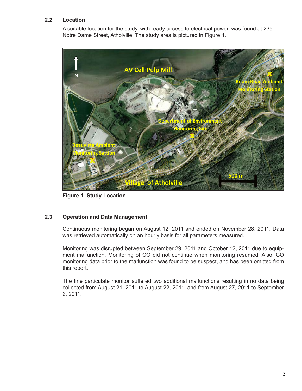### **2.2 Location**

A suitable location for the study, with ready access to electrical power, was found at 235 Notre Dame Street, Atholville. The study area is pictured in Figure 1.



**Figure 1. Study Location**

#### **2.3 Operation and Data Management**

Continuous monitoring began on August 12, 2011 and ended on November 28, 2011. Data was retrieved automatically on an hourly basis for all parameters measured.

Monitoring was disrupted between September 29, 2011 and October 12, 2011 due to equipment malfunction. Monitoring of CO did not continue when monitoring resumed. Also, CO monitoring data prior to the malfunction was found to be suspect, and has been omitted from this report.

The fine particulate monitor suffered two additional malfunctions resulting in no data being collected from August 21, 2011 to August 22, 2011, and from August 27, 2011 to September 6, 2011.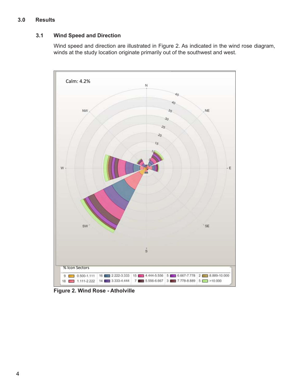## **3.0 Results**

## **3.1 Wind Speed and Direction**

Wind speed and direction are illustrated in Figure 2. As indicated in the wind rose diagram, winds at the study location originate primarily out of the southwest and west.



**Figure 2. Wind Rose - Atholville**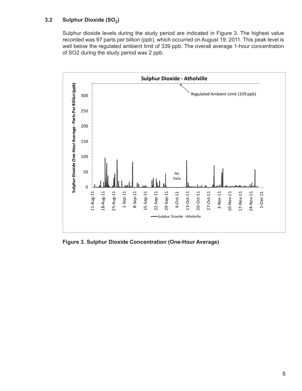## **3.2 Sulphur Dioxide (SO<sub>2</sub>)**

Sulphur dioxide levels during the study period are indicated in Figure 3. The highest value recorded was 97 parts per billion (ppb), which occurred on August 19, 2011. This peak level is well below the regulated ambient limit of 339 ppb. The overall average 1-hour concentration of SO2 during the study period was 2 ppb.



**Figure 3. Sulphur Dioxide Concentration (One-Hour Average)**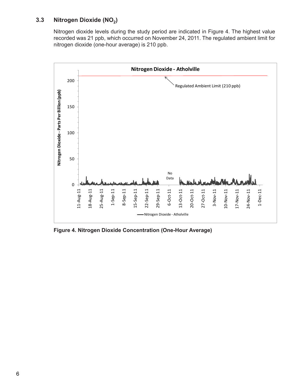## **3.3 Nitrogen Dioxide (NO<sub>2</sub>)**

Nitrogen dioxide levels during the study period are indicated in Figure 4. The highest value recorded was 21 ppb, which occurred on November 24, 2011. The regulated ambient limit for nitrogen dioxide (one-hour average) is 210 ppb.



**Figure 4. Nitrogen Dioxide Concentration (One-Hour Average)**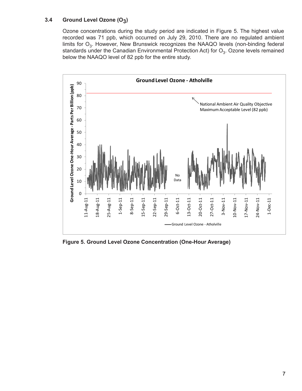## **3.4 Ground Level Ozone (O3)**

Ozone concentrations during the study period are indicated in Figure 5. The highest value recorded was 71 ppb, which occurred on July 29, 2010. There are no regulated ambient limits for  $O_3$ . However, New Brunswick recognizes the NAAQO levels (non-binding federal standards under the Canadian Environmental Protection Act) for  $O_3$ . Ozone levels remained below the NAAQO level of 82 ppb for the entire study.



**Figure 5. Ground Level Ozone Concentration (One-Hour Average)**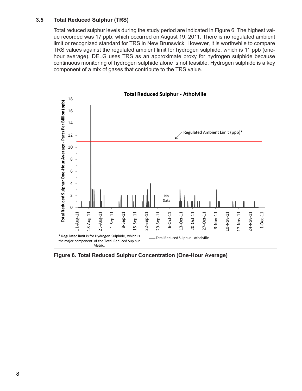#### **3.5 Total Reduced Sulphur (TRS)**

Total reduced sulphur levels during the study period are indicated in Figure 6. The highest value recorded was 17 ppb, which occurred on August 19, 2011. There is no regulated ambient limit or recognized standard for TRS in New Brunswick. However, it is worthwhile to compare TRS values against the regulated ambient limit for hydrogen sulphide, which is 11 ppb (onehour average). DELG uses TRS as an approximate proxy for hydrogen sulphide because continuous monitoring of hydrogen sulphide alone is not feasible. Hydrogen sulphide is a key component of a mix of gases that contribute to the TRS value.



**Figure 6. Total Reduced Sulphur Concentration (One-Hour Average)**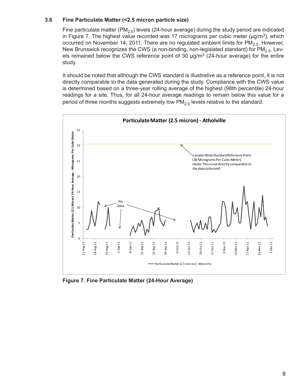#### **3.6 Fine Particulate Matter (<2.5 micron particle size)**

Fine particulate matter (PM<sub>2.5</sub>) levels (24-hour average) during the study period are indicated in Figure 7. The highest value recorded was 17 micrograms per cubic meter ( $\mu$ g/m<sup>3</sup>), which occurred on November 14, 2011. There are no regulated ambient limits for  $PM<sub>2.5</sub>$ . However, New Brunswick recognizes the CWS (a non-binding, non-legislated standard) for  $\overline{PM}_{2.5}$ . Levels remained below the CWS reference point of 30  $\mu$ g/m<sup>3</sup> (24-hour average) for the entire study.

It should be noted that although the CWS standard is illustrative as a reference point, it is not directly comparable to the data generated during the study. Compliance with the CWS value is determined based on a three-year rolling average of the highest (98th percentile) 24-hour readings for a site. Thus, for all 24-hour average readings to remain below this value for a period of three months suggests extremely low  $PM<sub>2.5</sub>$  levels relative to the standard.



**Figure 7. Fine Particulate Matter (24-Hour Average)**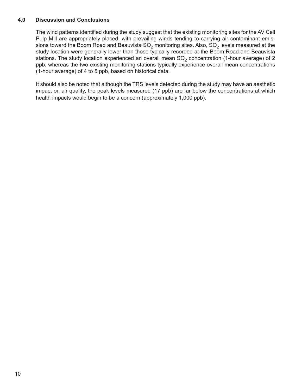#### **4.0 Discussion and Conclusions**

The wind patterns identified during the study suggest that the existing monitoring sites for the AV Cell Pulp Mill are appropriately placed, with prevailing winds tending to carrying air contaminant emissions toward the Boom Road and Beauvista  $SO_2$  monitoring sites. Also,  $SO_2$  levels measured at the study location were generally lower than those typically recorded at the Boom Road and Beauvista stations. The study location experienced an overall mean  $SO<sub>2</sub>$  concentration (1-hour average) of 2 ppb, whereas the two existing monitoring stations typically experience overall mean concentrations (1-hour average) of 4 to 5 ppb, based on historical data.

It should also be noted that although the TRS levels detected during the study may have an aesthetic impact on air quality, the peak levels measured (17 ppb) are far below the concentrations at which health impacts would begin to be a concern (approximately 1,000 ppb).